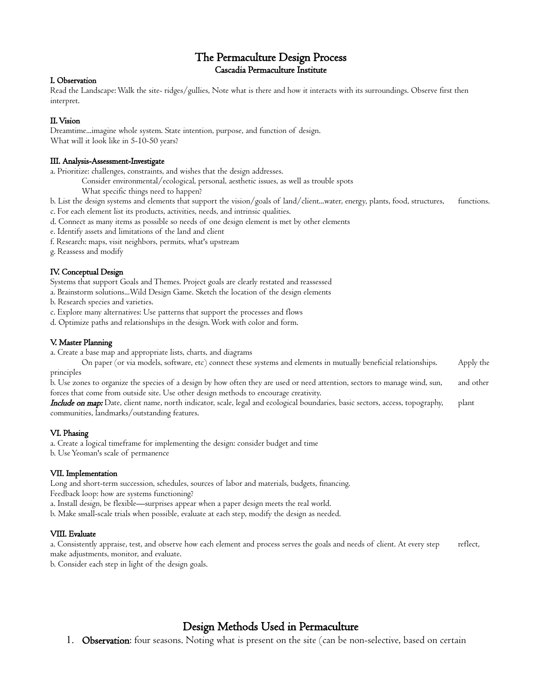## The Permaculture Design Process Cascadia Permaculture Institute

### I. Observation

Read the Landscape: Walk the site- ridges/gullies, Note what is there and how it interacts with its surroundings. Observe first then interpret.

### II. Vision

Dreamtime...imagine whole system. State intention, purpose, and function of design. What will it look like in 5-10-50 years?

#### III. Analysis-Assessment-Investigate

a. Prioritize: challenges, constraints, and wishes that the design addresses.

Consider environmental/ecological, personal, aesthetic issues, as well as trouble spots

What specific things need to happen?

b. List the design systems and elements that support the vision/goals of land/client...water, energy, plants, food, structures, functions. c. For each element list its products, activities, needs, and intrinsic qualities.

- d. Connect as many items as possible so needs of one design element is met by other elements
- e. Identify assets and limitations of the land and client
- f. Research: maps, visit neighbors, permits, what's upstream

g. Reassess and modify

## IV. Conceptual Design

Systems that support Goals and Themes. Project goals are clearly restated and reassessed

a. Brainstorm solutions...Wild Design Game. Sketch the location of the design elements

b. Research species and varieties.

c. Explore many alternatives: Use patterns that support the processes and flows

d. Optimize paths and relationships in the design. Work with color and form.

### V. Master Planning

a. Create a base map and appropriate lists, charts, and diagrams

On paper (or via models, software, etc) connect these systems and elements in mutually beneficial relationships. Apply the principles

b. Use zones to organize the species of a design by how often they are used or need attention, sectors to manage wind, sun, and other forces that come from outside site. Use other design methods to encourage creativity.

Include on map: Date, client name, north indicator, scale, legal and ecological boundaries, basic sectors, access, topography, plant communities, landmarks/outstanding features.

## VI. Phasing

a. Create a logical timeframe for implementing the design: consider budget and time

b. Use Yeoman's scale of permanence

#### VII. Implementation

Long and short-term succession, schedules, sources of labor and materials, budgets, financing. Feedback loop: how are systems functioning?

a. Install design, be flexible—surprises appear when a paper design meets the real world.

b. Make small-scale trials when possible, evaluate at each step, modify the design as needed.

## VIII. Evaluate

a. Consistently appraise, test, and observe how each element and process serves the goals and needs of client. At every step reflect, make adjustments, monitor, and evaluate.

b. Consider each step in light of the design goals.

# Design Methods Used in Permaculture

1. Observation: four seasons. Noting what is present on the site (can be non-selective, based on certain